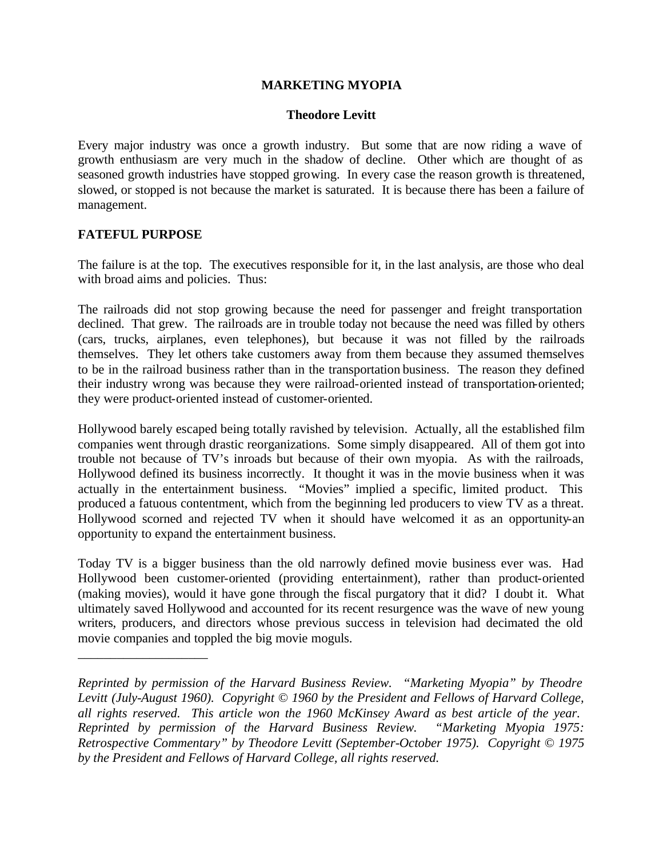#### **MARKETING MYOPIA**

#### **Theodore Levitt**

Every major industry was once a growth industry. But some that are now riding a wave of growth enthusiasm are very much in the shadow of decline. Other which are thought of as seasoned growth industries have stopped growing. In every case the reason growth is threatened, slowed, or stopped is not because the market is saturated. It is because there has been a failure of management.

#### **FATEFUL PURPOSE**

\_\_\_\_\_\_\_\_\_\_\_\_\_\_\_\_\_\_\_\_

The failure is at the top. The executives responsible for it, in the last analysis, are those who deal with broad aims and policies. Thus:

The railroads did not stop growing because the need for passenger and freight transportation declined. That grew. The railroads are in trouble today not because the need was filled by others (cars, trucks, airplanes, even telephones), but because it was not filled by the railroads themselves. They let others take customers away from them because they assumed themselves to be in the railroad business rather than in the transportation business. The reason they defined their industry wrong was because they were railroad-oriented instead of transportation-oriented; they were product-oriented instead of customer-oriented.

Hollywood barely escaped being totally ravished by television. Actually, all the established film companies went through drastic reorganizations. Some simply disappeared. All of them got into trouble not because of TV's inroads but because of their own myopia. As with the railroads, Hollywood defined its business incorrectly. It thought it was in the movie business when it was actually in the entertainment business. "Movies" implied a specific, limited product. This produced a fatuous contentment, which from the beginning led producers to view TV as a threat. Hollywood scorned and rejected TV when it should have welcomed it as an opportunity-an opportunity to expand the entertainment business.

Today TV is a bigger business than the old narrowly defined movie business ever was. Had Hollywood been customer-oriented (providing entertainment), rather than product-oriented (making movies), would it have gone through the fiscal purgatory that it did? I doubt it. What ultimately saved Hollywood and accounted for its recent resurgence was the wave of new young writers, producers, and directors whose previous success in television had decimated the old movie companies and toppled the big movie moguls.

*Reprinted by permission of the Harvard Business Review. "Marketing Myopia" by Theodre Levitt (July-August 1960). Copyright © 1960 by the President and Fellows of Harvard College, all rights reserved. This article won the 1960 McKinsey Award as best article of the year. Reprinted by permission of the Harvard Business Review. "Marketing Myopia 1975: Retrospective Commentary" by Theodore Levitt (September-October 1975). Copyright © 1975 by the President and Fellows of Harvard College, all rights reserved.*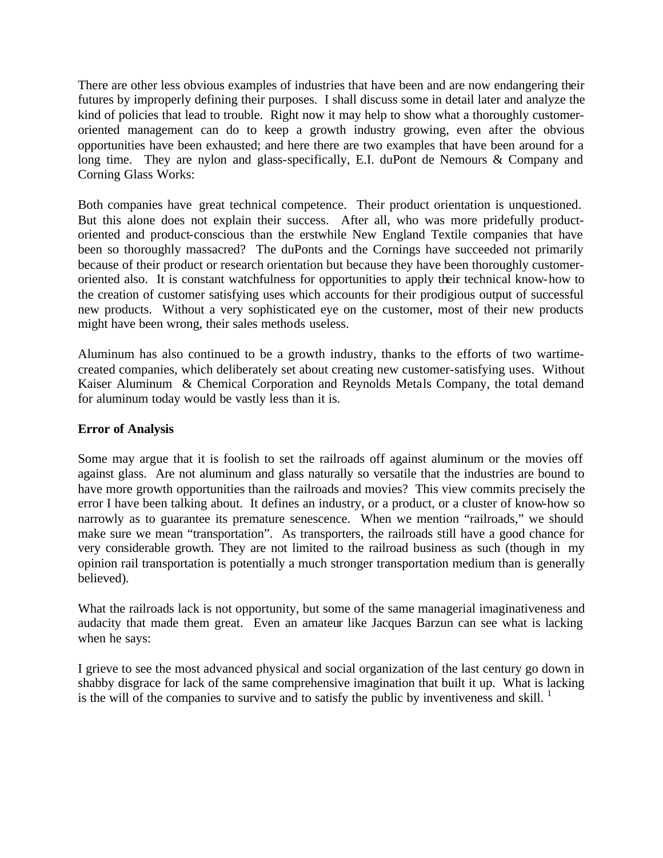There are other less obvious examples of industries that have been and are now endangering their futures by improperly defining their purposes. I shall discuss some in detail later and analyze the kind of policies that lead to trouble. Right now it may help to show what a thoroughly customeroriented management can do to keep a growth industry growing, even after the obvious opportunities have been exhausted; and here there are two examples that have been around for a long time. They are nylon and glass-specifically, E.I. duPont de Nemours & Company and Corning Glass Works:

Both companies have great technical competence. Their product orientation is unquestioned. But this alone does not explain their success. After all, who was more pridefully productoriented and product-conscious than the erstwhile New England Textile companies that have been so thoroughly massacred? The duPonts and the Cornings have succeeded not primarily because of their product or research orientation but because they have been thoroughly customeroriented also. It is constant watchfulness for opportunities to apply their technical know-how to the creation of customer satisfying uses which accounts for their prodigious output of successful new products. Without a very sophisticated eye on the customer, most of their new products might have been wrong, their sales methods useless.

Aluminum has also continued to be a growth industry, thanks to the efforts of two wartimecreated companies, which deliberately set about creating new customer-satisfying uses. Without Kaiser Aluminum & Chemical Corporation and Reynolds Metals Company, the total demand for aluminum today would be vastly less than it is.

### **Error of Analysis**

Some may argue that it is foolish to set the railroads off against aluminum or the movies off against glass. Are not aluminum and glass naturally so versatile that the industries are bound to have more growth opportunities than the railroads and movies? This view commits precisely the error I have been talking about. It defines an industry, or a product, or a cluster of know-how so narrowly as to guarantee its premature senescence. When we mention "railroads," we should make sure we mean "transportation". As transporters, the railroads still have a good chance for very considerable growth. They are not limited to the railroad business as such (though in my opinion rail transportation is potentially a much stronger transportation medium than is generally believed).

What the railroads lack is not opportunity, but some of the same managerial imaginativeness and audacity that made them great. Even an amateur like Jacques Barzun can see what is lacking when he says:

I grieve to see the most advanced physical and social organization of the last century go down in shabby disgrace for lack of the same comprehensive imagination that built it up. What is lacking is the will of the companies to survive and to satisfy the public by inventiveness and skill.  $<sup>1</sup>$ </sup>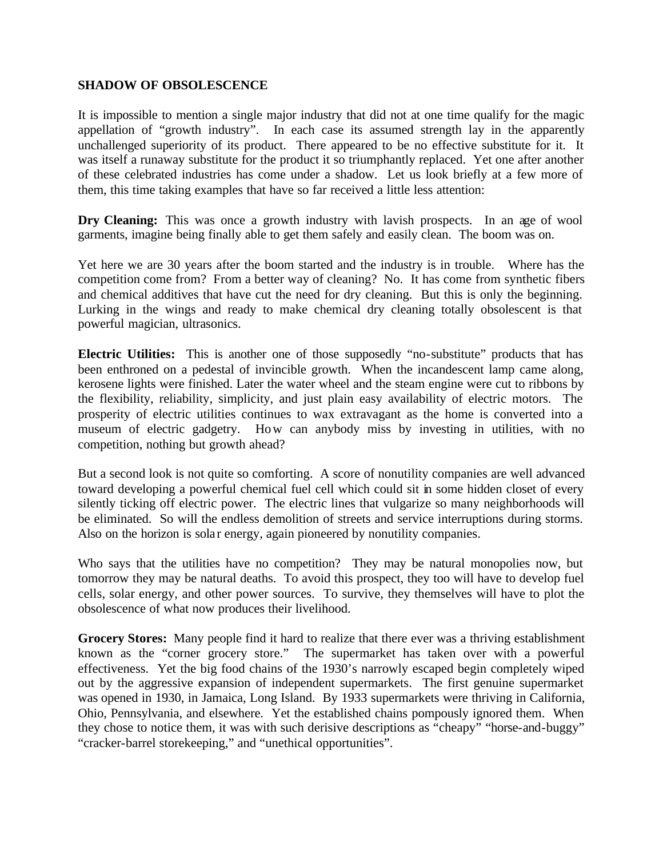#### **SHADOW OF OBSOLESCENCE**

It is impossible to mention a single major industry that did not at one time qualify for the magic appellation of "growth industry". In each case its assumed strength lay in the apparently unchallenged superiority of its product. There appeared to be no effective substitute for it. It was itself a runaway substitute for the product it so triumphantly replaced. Yet one after another of these celebrated industries has come under a shadow. Let us look briefly at a few more of them, this time taking examples that have so far received a little less attention:

**Dry Cleaning:** This was once a growth industry with lavish prospects. In an age of wool garments, imagine being finally able to get them safely and easily clean. The boom was on.

Yet here we are 30 years after the boom started and the industry is in trouble. Where has the competition come from? From a better way of cleaning? No. It has come from synthetic fibers and chemical additives that have cut the need for dry cleaning. But this is only the beginning. Lurking in the wings and ready to make chemical dry cleaning totally obsolescent is that powerful magician, ultrasonics.

**Electric Utilities:** This is another one of those supposedly "no-substitute" products that has been enthroned on a pedestal of invincible growth. When the incandescent lamp came along, kerosene lights were finished. Later the water wheel and the steam engine were cut to ribbons by the flexibility, reliability, simplicity, and just plain easy availability of electric motors. The prosperity of electric utilities continues to wax extravagant as the home is converted into a museum of electric gadgetry. How can anybody miss by investing in utilities, with no competition, nothing but growth ahead?

But a second look is not quite so comforting. A score of nonutility companies are well advanced toward developing a powerful chemical fuel cell which could sit in some hidden closet of every silently ticking off electric power. The electric lines that vulgarize so many neighborhoods will be eliminated. So will the endless demolition of streets and service interruptions during storms. Also on the horizon is solar energy, again pioneered by nonutility companies.

Who says that the utilities have no competition? They may be natural monopolies now, but tomorrow they may be natural deaths. To avoid this prospect, they too will have to develop fuel cells, solar energy, and other power sources. To survive, they themselves will have to plot the obsolescence of what now produces their livelihood.

**Grocery Stores:** Many people find it hard to realize that there ever was a thriving establishment known as the "corner grocery store." The supermarket has taken over with a powerful effectiveness. Yet the big food chains of the 1930's narrowly escaped begin completely wiped out by the aggressive expansion of independent supermarkets. The first genuine supermarket was opened in 1930, in Jamaica, Long Island. By 1933 supermarkets were thriving in California, Ohio, Pennsylvania, and elsewhere. Yet the established chains pompously ignored them. When they chose to notice them, it was with such derisive descriptions as "cheapy" "horse-and-buggy" "cracker-barrel storekeeping," and "unethical opportunities".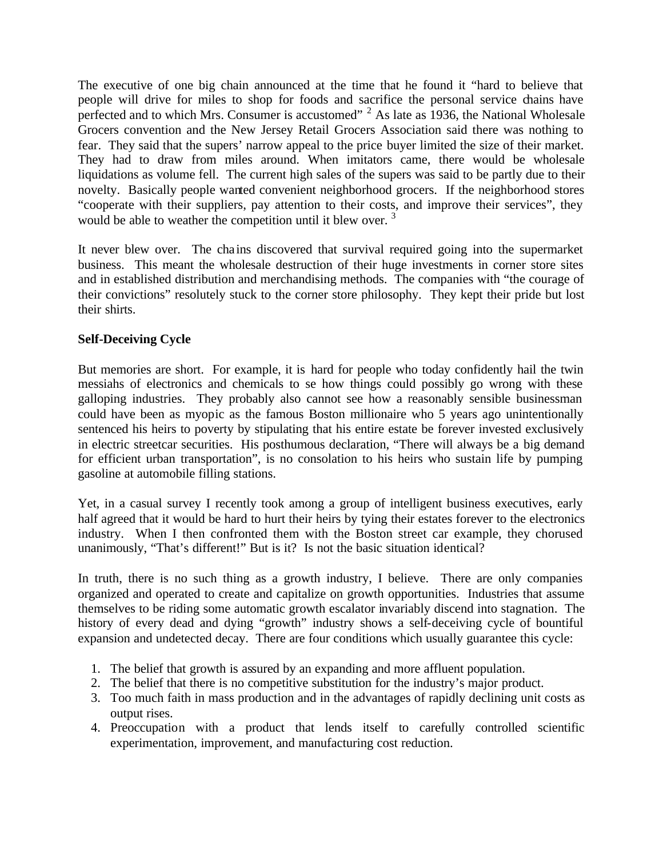The executive of one big chain announced at the time that he found it "hard to believe that people will drive for miles to shop for foods and sacrifice the personal service chains have perfected and to which Mrs. Consumer is accustomed"  $2$  As late as 1936, the National Wholesale Grocers convention and the New Jersey Retail Grocers Association said there was nothing to fear. They said that the supers' narrow appeal to the price buyer limited the size of their market. They had to draw from miles around. When imitators came, there would be wholesale liquidations as volume fell. The current high sales of the supers was said to be partly due to their novelty. Basically people wanted convenient neighborhood grocers. If the neighborhood stores "cooperate with their suppliers, pay attention to their costs, and improve their services", they would be able to weather the competition until it blew over.<sup>3</sup>

It never blew over. The chains discovered that survival required going into the supermarket business. This meant the wholesale destruction of their huge investments in corner store sites and in established distribution and merchandising methods. The companies with "the courage of their convictions" resolutely stuck to the corner store philosophy. They kept their pride but lost their shirts.

# **Self-Deceiving Cycle**

But memories are short. For example, it is hard for people who today confidently hail the twin messiahs of electronics and chemicals to se how things could possibly go wrong with these galloping industries. They probably also cannot see how a reasonably sensible businessman could have been as myopic as the famous Boston millionaire who 5 years ago unintentionally sentenced his heirs to poverty by stipulating that his entire estate be forever invested exclusively in electric streetcar securities. His posthumous declaration, "There will always be a big demand for efficient urban transportation", is no consolation to his heirs who sustain life by pumping gasoline at automobile filling stations.

Yet, in a casual survey I recently took among a group of intelligent business executives, early half agreed that it would be hard to hurt their heirs by tying their estates forever to the electronics industry. When I then confronted them with the Boston street car example, they chorused unanimously, "That's different!" But is it? Is not the basic situation identical?

In truth, there is no such thing as a growth industry, I believe. There are only companies organized and operated to create and capitalize on growth opportunities. Industries that assume themselves to be riding some automatic growth escalator invariably discend into stagnation. The history of every dead and dying "growth" industry shows a self-deceiving cycle of bountiful expansion and undetected decay. There are four conditions which usually guarantee this cycle:

- 1. The belief that growth is assured by an expanding and more affluent population.
- 2. The belief that there is no competitive substitution for the industry's major product.
- 3. Too much faith in mass production and in the advantages of rapidly declining unit costs as output rises.
- 4. Preoccupation with a product that lends itself to carefully controlled scientific experimentation, improvement, and manufacturing cost reduction.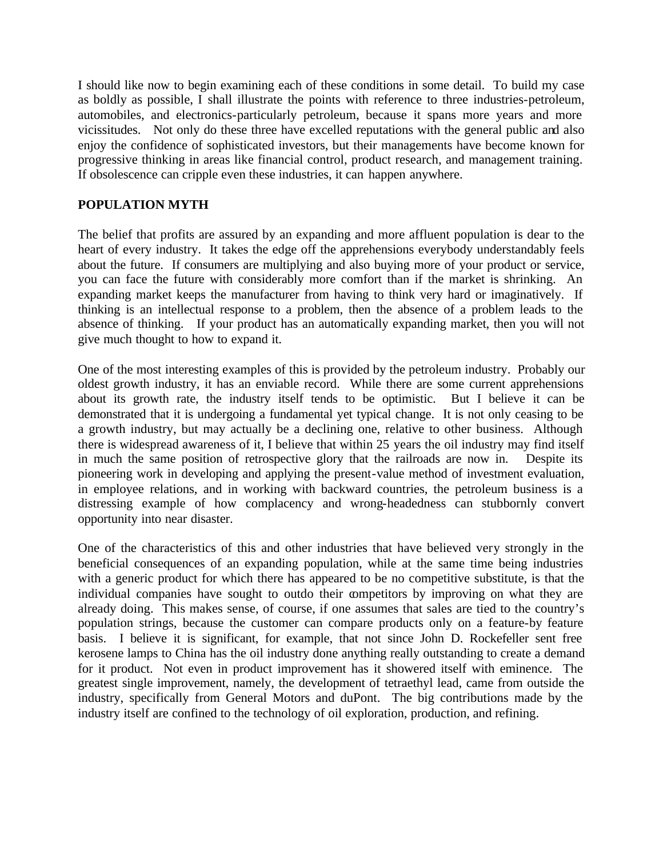I should like now to begin examining each of these conditions in some detail. To build my case as boldly as possible, I shall illustrate the points with reference to three industries-petroleum, automobiles, and electronics-particularly petroleum, because it spans more years and more vicissitudes. Not only do these three have excelled reputations with the general public and also enjoy the confidence of sophisticated investors, but their managements have become known for progressive thinking in areas like financial control, product research, and management training. If obsolescence can cripple even these industries, it can happen anywhere.

### **POPULATION MYTH**

The belief that profits are assured by an expanding and more affluent population is dear to the heart of every industry. It takes the edge off the apprehensions everybody understandably feels about the future. If consumers are multiplying and also buying more of your product or service, you can face the future with considerably more comfort than if the market is shrinking. An expanding market keeps the manufacturer from having to think very hard or imaginatively. If thinking is an intellectual response to a problem, then the absence of a problem leads to the absence of thinking. If your product has an automatically expanding market, then you will not give much thought to how to expand it.

One of the most interesting examples of this is provided by the petroleum industry. Probably our oldest growth industry, it has an enviable record. While there are some current apprehensions about its growth rate, the industry itself tends to be optimistic. But I believe it can be demonstrated that it is undergoing a fundamental yet typical change. It is not only ceasing to be a growth industry, but may actually be a declining one, relative to other business. Although there is widespread awareness of it, I believe that within 25 years the oil industry may find itself in much the same position of retrospective glory that the railroads are now in. Despite its pioneering work in developing and applying the present-value method of investment evaluation, in employee relations, and in working with backward countries, the petroleum business is a distressing example of how complacency and wrong-headedness can stubbornly convert opportunity into near disaster.

One of the characteristics of this and other industries that have believed very strongly in the beneficial consequences of an expanding population, while at the same time being industries with a generic product for which there has appeared to be no competitive substitute, is that the individual companies have sought to outdo their competitors by improving on what they are already doing. This makes sense, of course, if one assumes that sales are tied to the country's population strings, because the customer can compare products only on a feature-by feature basis. I believe it is significant, for example, that not since John D. Rockefeller sent free kerosene lamps to China has the oil industry done anything really outstanding to create a demand for it product. Not even in product improvement has it showered itself with eminence. The greatest single improvement, namely, the development of tetraethyl lead, came from outside the industry, specifically from General Motors and duPont. The big contributions made by the industry itself are confined to the technology of oil exploration, production, and refining.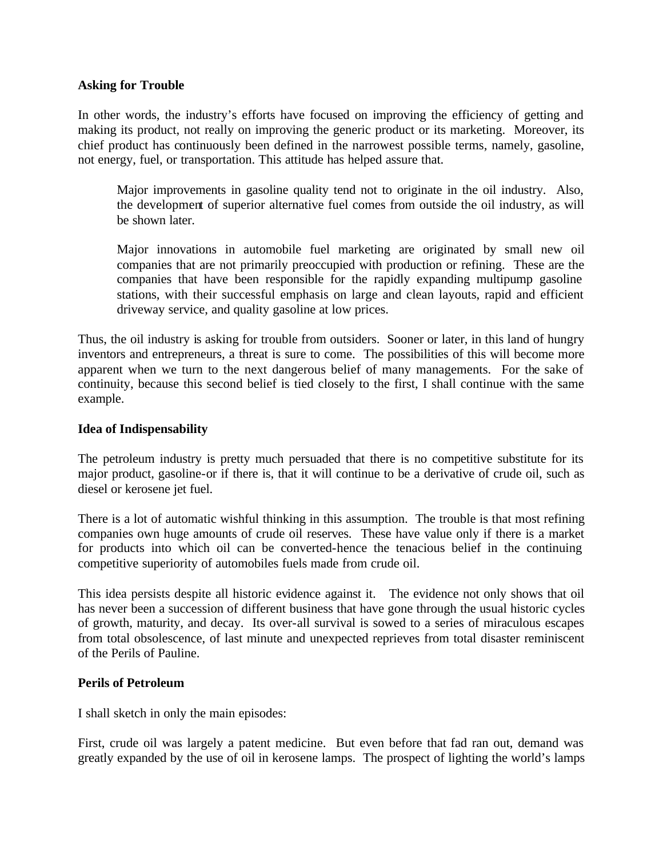#### **Asking for Trouble**

In other words, the industry's efforts have focused on improving the efficiency of getting and making its product, not really on improving the generic product or its marketing. Moreover, its chief product has continuously been defined in the narrowest possible terms, namely, gasoline, not energy, fuel, or transportation. This attitude has helped assure that.

Major improvements in gasoline quality tend not to originate in the oil industry. Also, the development of superior alternative fuel comes from outside the oil industry, as will be shown later.

Major innovations in automobile fuel marketing are originated by small new oil companies that are not primarily preoccupied with production or refining. These are the companies that have been responsible for the rapidly expanding multipump gasoline stations, with their successful emphasis on large and clean layouts, rapid and efficient driveway service, and quality gasoline at low prices.

Thus, the oil industry is asking for trouble from outsiders. Sooner or later, in this land of hungry inventors and entrepreneurs, a threat is sure to come. The possibilities of this will become more apparent when we turn to the next dangerous belief of many managements. For the sake of continuity, because this second belief is tied closely to the first, I shall continue with the same example.

#### **Idea of Indispensability**

The petroleum industry is pretty much persuaded that there is no competitive substitute for its major product, gasoline-or if there is, that it will continue to be a derivative of crude oil, such as diesel or kerosene jet fuel.

There is a lot of automatic wishful thinking in this assumption. The trouble is that most refining companies own huge amounts of crude oil reserves. These have value only if there is a market for products into which oil can be converted-hence the tenacious belief in the continuing competitive superiority of automobiles fuels made from crude oil.

This idea persists despite all historic evidence against it. The evidence not only shows that oil has never been a succession of different business that have gone through the usual historic cycles of growth, maturity, and decay. Its over-all survival is sowed to a series of miraculous escapes from total obsolescence, of last minute and unexpected reprieves from total disaster reminiscent of the Perils of Pauline.

#### **Perils of Petroleum**

I shall sketch in only the main episodes:

First, crude oil was largely a patent medicine. But even before that fad ran out, demand was greatly expanded by the use of oil in kerosene lamps. The prospect of lighting the world's lamps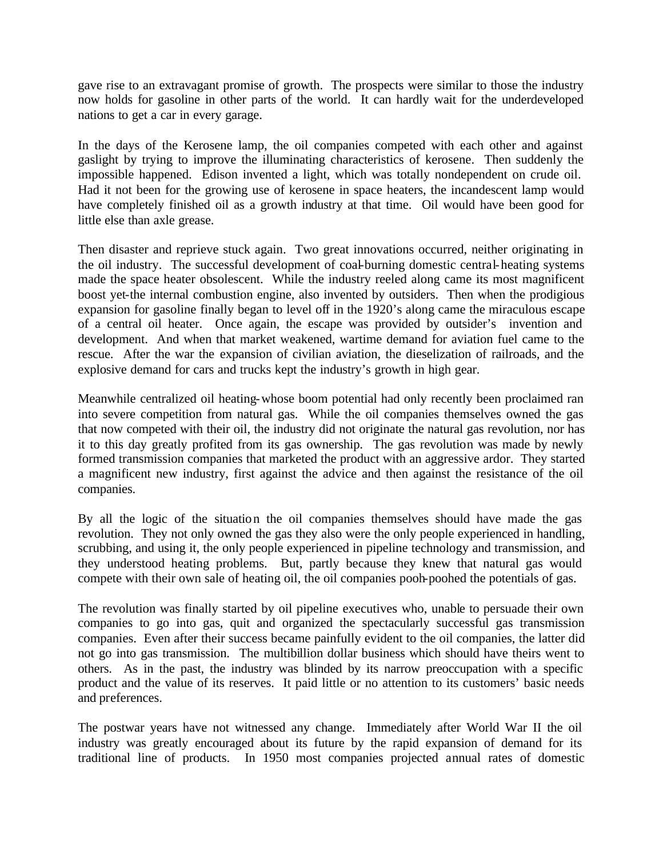gave rise to an extravagant promise of growth. The prospects were similar to those the industry now holds for gasoline in other parts of the world. It can hardly wait for the underdeveloped nations to get a car in every garage.

In the days of the Kerosene lamp, the oil companies competed with each other and against gaslight by trying to improve the illuminating characteristics of kerosene. Then suddenly the impossible happened. Edison invented a light, which was totally nondependent on crude oil. Had it not been for the growing use of kerosene in space heaters, the incandescent lamp would have completely finished oil as a growth industry at that time. Oil would have been good for little else than axle grease.

Then disaster and reprieve stuck again. Two great innovations occurred, neither originating in the oil industry. The successful development of coal-burning domestic central-heating systems made the space heater obsolescent. While the industry reeled along came its most magnificent boost yet-the internal combustion engine, also invented by outsiders. Then when the prodigious expansion for gasoline finally began to level off in the 1920's along came the miraculous escape of a central oil heater. Once again, the escape was provided by outsider's invention and development. And when that market weakened, wartime demand for aviation fuel came to the rescue. After the war the expansion of civilian aviation, the dieselization of railroads, and the explosive demand for cars and trucks kept the industry's growth in high gear.

Meanwhile centralized oil heating-whose boom potential had only recently been proclaimed ran into severe competition from natural gas. While the oil companies themselves owned the gas that now competed with their oil, the industry did not originate the natural gas revolution, nor has it to this day greatly profited from its gas ownership. The gas revolution was made by newly formed transmission companies that marketed the product with an aggressive ardor. They started a magnificent new industry, first against the advice and then against the resistance of the oil companies.

By all the logic of the situation the oil companies themselves should have made the gas revolution. They not only owned the gas they also were the only people experienced in handling, scrubbing, and using it, the only people experienced in pipeline technology and transmission, and they understood heating problems. But, partly because they knew that natural gas would compete with their own sale of heating oil, the oil companies pooh-poohed the potentials of gas.

The revolution was finally started by oil pipeline executives who, unable to persuade their own companies to go into gas, quit and organized the spectacularly successful gas transmission companies. Even after their success became painfully evident to the oil companies, the latter did not go into gas transmission. The multibillion dollar business which should have theirs went to others. As in the past, the industry was blinded by its narrow preoccupation with a specific product and the value of its reserves. It paid little or no attention to its customers' basic needs and preferences.

The postwar years have not witnessed any change. Immediately after World War II the oil industry was greatly encouraged about its future by the rapid expansion of demand for its traditional line of products. In 1950 most companies projected annual rates of domestic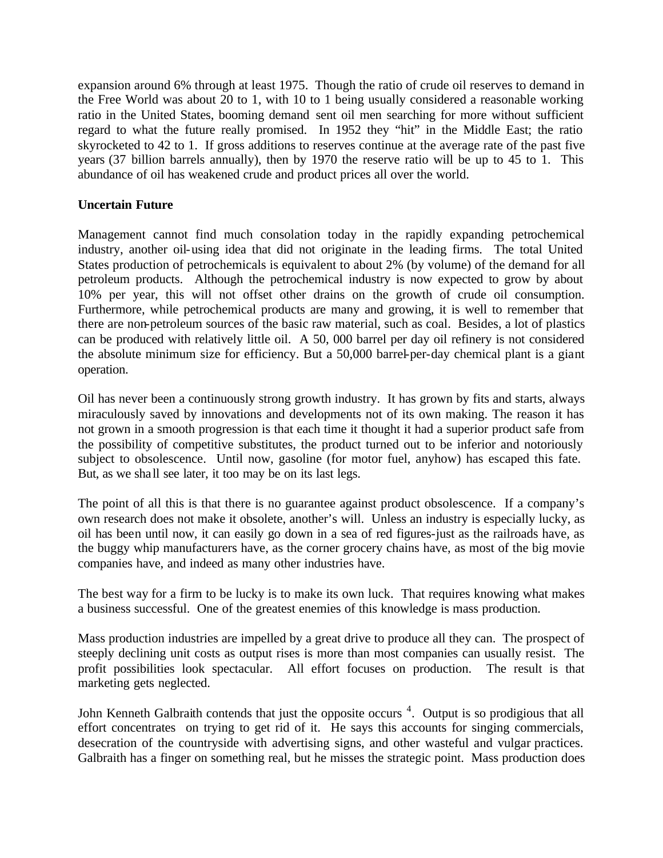expansion around 6% through at least 1975. Though the ratio of crude oil reserves to demand in the Free World was about 20 to 1, with 10 to 1 being usually considered a reasonable working ratio in the United States, booming demand sent oil men searching for more without sufficient regard to what the future really promised. In 1952 they "hit" in the Middle East; the ratio skyrocketed to 42 to 1. If gross additions to reserves continue at the average rate of the past five years (37 billion barrels annually), then by 1970 the reserve ratio will be up to 45 to 1. This abundance of oil has weakened crude and product prices all over the world.

### **Uncertain Future**

Management cannot find much consolation today in the rapidly expanding petrochemical industry, another oil-using idea that did not originate in the leading firms. The total United States production of petrochemicals is equivalent to about 2% (by volume) of the demand for all petroleum products. Although the petrochemical industry is now expected to grow by about 10% per year, this will not offset other drains on the growth of crude oil consumption. Furthermore, while petrochemical products are many and growing, it is well to remember that there are non-petroleum sources of the basic raw material, such as coal. Besides, a lot of plastics can be produced with relatively little oil. A 50, 000 barrel per day oil refinery is not considered the absolute minimum size for efficiency. But a 50,000 barrel-per-day chemical plant is a giant operation.

Oil has never been a continuously strong growth industry. It has grown by fits and starts, always miraculously saved by innovations and developments not of its own making. The reason it has not grown in a smooth progression is that each time it thought it had a superior product safe from the possibility of competitive substitutes, the product turned out to be inferior and notoriously subject to obsolescence. Until now, gasoline (for motor fuel, anyhow) has escaped this fate. But, as we shall see later, it too may be on its last legs.

The point of all this is that there is no guarantee against product obsolescence. If a company's own research does not make it obsolete, another's will. Unless an industry is especially lucky, as oil has been until now, it can easily go down in a sea of red figures-just as the railroads have, as the buggy whip manufacturers have, as the corner grocery chains have, as most of the big movie companies have, and indeed as many other industries have.

The best way for a firm to be lucky is to make its own luck. That requires knowing what makes a business successful. One of the greatest enemies of this knowledge is mass production.

Mass production industries are impelled by a great drive to produce all they can. The prospect of steeply declining unit costs as output rises is more than most companies can usually resist. The profit possibilities look spectacular. All effort focuses on production. The result is that marketing gets neglected.

John Kenneth Galbraith contends that just the opposite occurs <sup>4</sup>. Output is so prodigious that all effort concentrates on trying to get rid of it. He says this accounts for singing commercials, desecration of the countryside with advertising signs, and other wasteful and vulgar practices. Galbraith has a finger on something real, but he misses the strategic point. Mass production does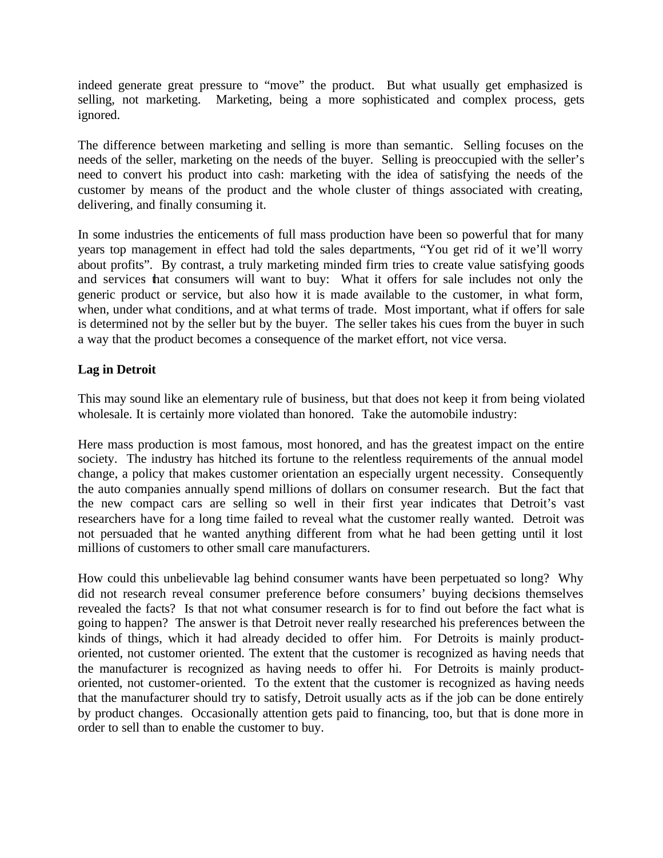indeed generate great pressure to "move" the product. But what usually get emphasized is selling, not marketing. Marketing, being a more sophisticated and complex process, gets ignored.

The difference between marketing and selling is more than semantic. Selling focuses on the needs of the seller, marketing on the needs of the buyer. Selling is preoccupied with the seller's need to convert his product into cash: marketing with the idea of satisfying the needs of the customer by means of the product and the whole cluster of things associated with creating, delivering, and finally consuming it.

In some industries the enticements of full mass production have been so powerful that for many years top management in effect had told the sales departments, "You get rid of it we'll worry about profits". By contrast, a truly marketing minded firm tries to create value satisfying goods and services that consumers will want to buy: What it offers for sale includes not only the generic product or service, but also how it is made available to the customer, in what form, when, under what conditions, and at what terms of trade. Most important, what if offers for sale is determined not by the seller but by the buyer. The seller takes his cues from the buyer in such a way that the product becomes a consequence of the market effort, not vice versa.

# **Lag in Detroit**

This may sound like an elementary rule of business, but that does not keep it from being violated wholesale. It is certainly more violated than honored. Take the automobile industry:

Here mass production is most famous, most honored, and has the greatest impact on the entire society. The industry has hitched its fortune to the relentless requirements of the annual model change, a policy that makes customer orientation an especially urgent necessity. Consequently the auto companies annually spend millions of dollars on consumer research. But the fact that the new compact cars are selling so well in their first year indicates that Detroit's vast researchers have for a long time failed to reveal what the customer really wanted. Detroit was not persuaded that he wanted anything different from what he had been getting until it lost millions of customers to other small care manufacturers.

How could this unbelievable lag behind consumer wants have been perpetuated so long? Why did not research reveal consumer preference before consumers' buying decisions themselves revealed the facts? Is that not what consumer research is for to find out before the fact what is going to happen? The answer is that Detroit never really researched his preferences between the kinds of things, which it had already decided to offer him. For Detroits is mainly productoriented, not customer oriented. The extent that the customer is recognized as having needs that the manufacturer is recognized as having needs to offer hi. For Detroits is mainly productoriented, not customer-oriented. To the extent that the customer is recognized as having needs that the manufacturer should try to satisfy, Detroit usually acts as if the job can be done entirely by product changes. Occasionally attention gets paid to financing, too, but that is done more in order to sell than to enable the customer to buy.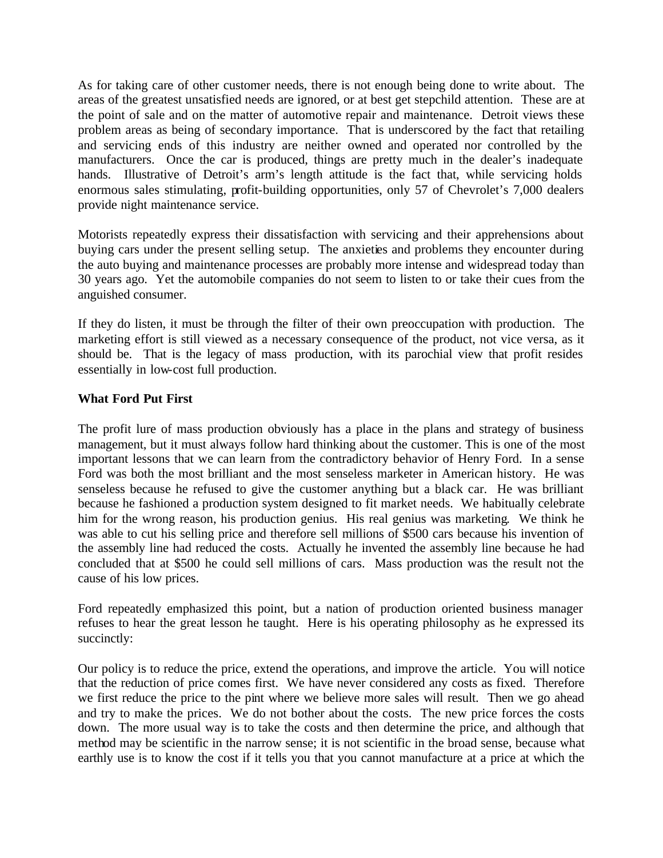As for taking care of other customer needs, there is not enough being done to write about. The areas of the greatest unsatisfied needs are ignored, or at best get stepchild attention. These are at the point of sale and on the matter of automotive repair and maintenance. Detroit views these problem areas as being of secondary importance. That is underscored by the fact that retailing and servicing ends of this industry are neither owned and operated nor controlled by the manufacturers. Once the car is produced, things are pretty much in the dealer's inadequate hands. Illustrative of Detroit's arm's length attitude is the fact that, while servicing holds enormous sales stimulating, profit-building opportunities, only 57 of Chevrolet's 7,000 dealers provide night maintenance service.

Motorists repeatedly express their dissatisfaction with servicing and their apprehensions about buying cars under the present selling setup. The anxieties and problems they encounter during the auto buying and maintenance processes are probably more intense and widespread today than 30 years ago. Yet the automobile companies do not seem to listen to or take their cues from the anguished consumer.

If they do listen, it must be through the filter of their own preoccupation with production. The marketing effort is still viewed as a necessary consequence of the product, not vice versa, as it should be. That is the legacy of mass production, with its parochial view that profit resides essentially in low-cost full production.

### **What Ford Put First**

The profit lure of mass production obviously has a place in the plans and strategy of business management, but it must always follow hard thinking about the customer. This is one of the most important lessons that we can learn from the contradictory behavior of Henry Ford. In a sense Ford was both the most brilliant and the most senseless marketer in American history. He was senseless because he refused to give the customer anything but a black car. He was brilliant because he fashioned a production system designed to fit market needs. We habitually celebrate him for the wrong reason, his production genius. His real genius was marketing. We think he was able to cut his selling price and therefore sell millions of \$500 cars because his invention of the assembly line had reduced the costs. Actually he invented the assembly line because he had concluded that at \$500 he could sell millions of cars. Mass production was the result not the cause of his low prices.

Ford repeatedly emphasized this point, but a nation of production oriented business manager refuses to hear the great lesson he taught. Here is his operating philosophy as he expressed its succinctly:

Our policy is to reduce the price, extend the operations, and improve the article. You will notice that the reduction of price comes first. We have never considered any costs as fixed. Therefore we first reduce the price to the pint where we believe more sales will result. Then we go ahead and try to make the prices. We do not bother about the costs. The new price forces the costs down. The more usual way is to take the costs and then determine the price, and although that method may be scientific in the narrow sense; it is not scientific in the broad sense, because what earthly use is to know the cost if it tells you that you cannot manufacture at a price at which the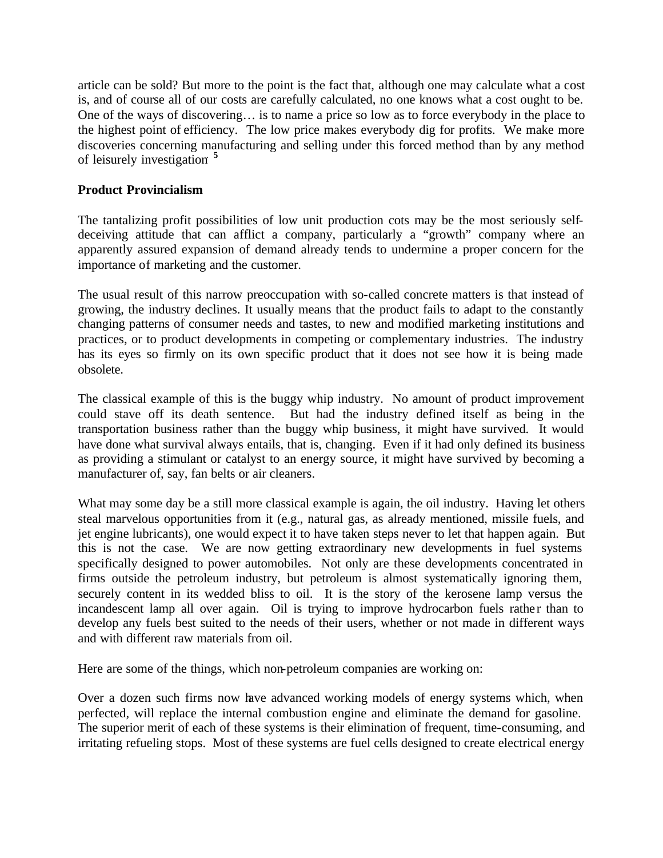article can be sold? But more to the point is the fact that, although one may calculate what a cost is, and of course all of our costs are carefully calculated, no one knows what a cost ought to be. One of the ways of discovering… is to name a price so low as to force everybody in the place to the highest point of efficiency. The low price makes everybody dig for profits. We make more discoveries concerning manufacturing and selling under this forced method than by any method of leisurely investigation. **<sup>5</sup>**

# **Product Provincialism**

The tantalizing profit possibilities of low unit production cots may be the most seriously selfdeceiving attitude that can afflict a company, particularly a "growth" company where an apparently assured expansion of demand already tends to undermine a proper concern for the importance of marketing and the customer.

The usual result of this narrow preoccupation with so-called concrete matters is that instead of growing, the industry declines. It usually means that the product fails to adapt to the constantly changing patterns of consumer needs and tastes, to new and modified marketing institutions and practices, or to product developments in competing or complementary industries. The industry has its eyes so firmly on its own specific product that it does not see how it is being made obsolete.

The classical example of this is the buggy whip industry. No amount of product improvement could stave off its death sentence. But had the industry defined itself as being in the transportation business rather than the buggy whip business, it might have survived. It would have done what survival always entails, that is, changing. Even if it had only defined its business as providing a stimulant or catalyst to an energy source, it might have survived by becoming a manufacturer of, say, fan belts or air cleaners.

What may some day be a still more classical example is again, the oil industry. Having let others steal marvelous opportunities from it (e.g., natural gas, as already mentioned, missile fuels, and jet engine lubricants), one would expect it to have taken steps never to let that happen again. But this is not the case. We are now getting extraordinary new developments in fuel systems specifically designed to power automobiles. Not only are these developments concentrated in firms outside the petroleum industry, but petroleum is almost systematically ignoring them, securely content in its wedded bliss to oil. It is the story of the kerosene lamp versus the incandescent lamp all over again. Oil is trying to improve hydrocarbon fuels rather than to develop any fuels best suited to the needs of their users, whether or not made in different ways and with different raw materials from oil.

Here are some of the things, which non-petroleum companies are working on:

Over a dozen such firms now have advanced working models of energy systems which, when perfected, will replace the internal combustion engine and eliminate the demand for gasoline. The superior merit of each of these systems is their elimination of frequent, time-consuming, and irritating refueling stops. Most of these systems are fuel cells designed to create electrical energy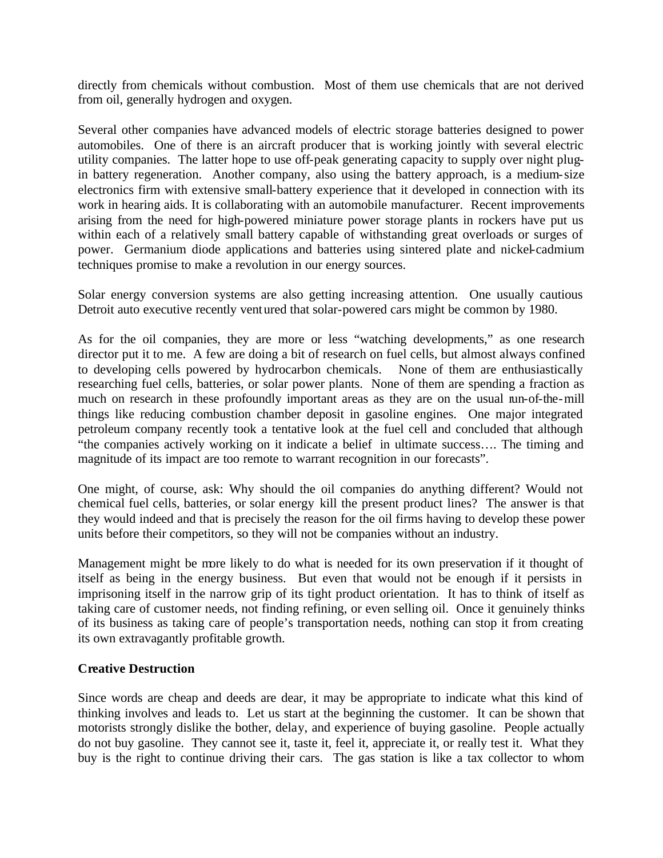directly from chemicals without combustion. Most of them use chemicals that are not derived from oil, generally hydrogen and oxygen.

Several other companies have advanced models of electric storage batteries designed to power automobiles. One of there is an aircraft producer that is working jointly with several electric utility companies. The latter hope to use off-peak generating capacity to supply over night plugin battery regeneration. Another company, also using the battery approach, is a medium-size electronics firm with extensive small-battery experience that it developed in connection with its work in hearing aids. It is collaborating with an automobile manufacturer. Recent improvements arising from the need for high-powered miniature power storage plants in rockers have put us within each of a relatively small battery capable of withstanding great overloads or surges of power. Germanium diode applications and batteries using sintered plate and nickel-cadmium techniques promise to make a revolution in our energy sources.

Solar energy conversion systems are also getting increasing attention. One usually cautious Detroit auto executive recently ventured that solar-powered cars might be common by 1980.

As for the oil companies, they are more or less "watching developments," as one research director put it to me. A few are doing a bit of research on fuel cells, but almost always confined to developing cells powered by hydrocarbon chemicals. None of them are enthusiastically researching fuel cells, batteries, or solar power plants. None of them are spending a fraction as much on research in these profoundly important areas as they are on the usual run-of-the-mill things like reducing combustion chamber deposit in gasoline engines. One major integrated petroleum company recently took a tentative look at the fuel cell and concluded that although "the companies actively working on it indicate a belief in ultimate success…. The timing and magnitude of its impact are too remote to warrant recognition in our forecasts".

One might, of course, ask: Why should the oil companies do anything different? Would not chemical fuel cells, batteries, or solar energy kill the present product lines? The answer is that they would indeed and that is precisely the reason for the oil firms having to develop these power units before their competitors, so they will not be companies without an industry.

Management might be more likely to do what is needed for its own preservation if it thought of itself as being in the energy business. But even that would not be enough if it persists in imprisoning itself in the narrow grip of its tight product orientation. It has to think of itself as taking care of customer needs, not finding refining, or even selling oil. Once it genuinely thinks of its business as taking care of people's transportation needs, nothing can stop it from creating its own extravagantly profitable growth.

#### **Creative Destruction**

Since words are cheap and deeds are dear, it may be appropriate to indicate what this kind of thinking involves and leads to. Let us start at the beginning the customer. It can be shown that motorists strongly dislike the bother, delay, and experience of buying gasoline. People actually do not buy gasoline. They cannot see it, taste it, feel it, appreciate it, or really test it. What they buy is the right to continue driving their cars. The gas station is like a tax collector to whom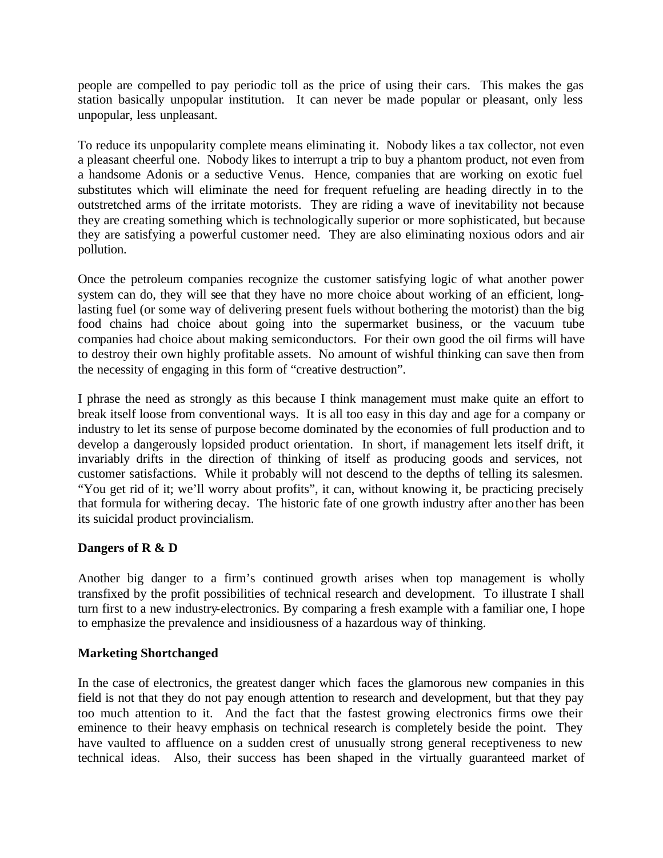people are compelled to pay periodic toll as the price of using their cars. This makes the gas station basically unpopular institution. It can never be made popular or pleasant, only less unpopular, less unpleasant.

To reduce its unpopularity complete means eliminating it. Nobody likes a tax collector, not even a pleasant cheerful one. Nobody likes to interrupt a trip to buy a phantom product, not even from a handsome Adonis or a seductive Venus. Hence, companies that are working on exotic fuel substitutes which will eliminate the need for frequent refueling are heading directly in to the outstretched arms of the irritate motorists. They are riding a wave of inevitability not because they are creating something which is technologically superior or more sophisticated, but because they are satisfying a powerful customer need. They are also eliminating noxious odors and air pollution.

Once the petroleum companies recognize the customer satisfying logic of what another power system can do, they will see that they have no more choice about working of an efficient, longlasting fuel (or some way of delivering present fuels without bothering the motorist) than the big food chains had choice about going into the supermarket business, or the vacuum tube companies had choice about making semiconductors. For their own good the oil firms will have to destroy their own highly profitable assets. No amount of wishful thinking can save then from the necessity of engaging in this form of "creative destruction".

I phrase the need as strongly as this because I think management must make quite an effort to break itself loose from conventional ways. It is all too easy in this day and age for a company or industry to let its sense of purpose become dominated by the economies of full production and to develop a dangerously lopsided product orientation. In short, if management lets itself drift, it invariably drifts in the direction of thinking of itself as producing goods and services, not customer satisfactions. While it probably will not descend to the depths of telling its salesmen. "You get rid of it; we'll worry about profits", it can, without knowing it, be practicing precisely that formula for withering decay. The historic fate of one growth industry after another has been its suicidal product provincialism.

# **Dangers of R & D**

Another big danger to a firm's continued growth arises when top management is wholly transfixed by the profit possibilities of technical research and development. To illustrate I shall turn first to a new industry-electronics. By comparing a fresh example with a familiar one, I hope to emphasize the prevalence and insidiousness of a hazardous way of thinking.

# **Marketing Shortchanged**

In the case of electronics, the greatest danger which faces the glamorous new companies in this field is not that they do not pay enough attention to research and development, but that they pay too much attention to it. And the fact that the fastest growing electronics firms owe their eminence to their heavy emphasis on technical research is completely beside the point. They have vaulted to affluence on a sudden crest of unusually strong general receptiveness to new technical ideas. Also, their success has been shaped in the virtually guaranteed market of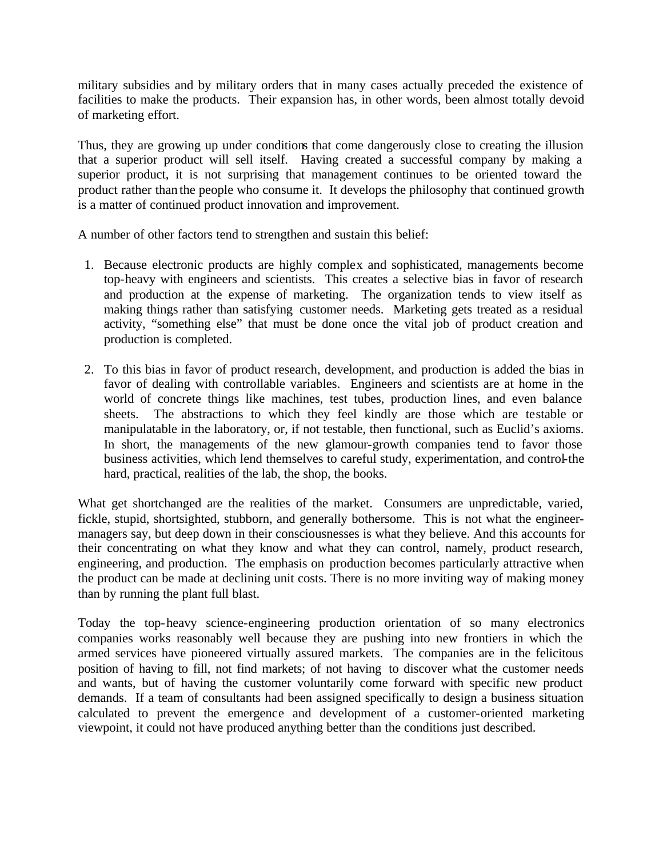military subsidies and by military orders that in many cases actually preceded the existence of facilities to make the products. Their expansion has, in other words, been almost totally devoid of marketing effort.

Thus, they are growing up under conditions that come dangerously close to creating the illusion that a superior product will sell itself. Having created a successful company by making a superior product, it is not surprising that management continues to be oriented toward the product rather than the people who consume it. It develops the philosophy that continued growth is a matter of continued product innovation and improvement.

A number of other factors tend to strengthen and sustain this belief:

- 1. Because electronic products are highly complex and sophisticated, managements become top-heavy with engineers and scientists. This creates a selective bias in favor of research and production at the expense of marketing. The organization tends to view itself as making things rather than satisfying customer needs. Marketing gets treated as a residual activity, "something else" that must be done once the vital job of product creation and production is completed.
- 2. To this bias in favor of product research, development, and production is added the bias in favor of dealing with controllable variables. Engineers and scientists are at home in the world of concrete things like machines, test tubes, production lines, and even balance sheets. The abstractions to which they feel kindly are those which are testable or manipulatable in the laboratory, or, if not testable, then functional, such as Euclid's axioms. In short, the managements of the new glamour-growth companies tend to favor those business activities, which lend themselves to careful study, experimentation, and control-the hard, practical, realities of the lab, the shop, the books.

What get shortchanged are the realities of the market. Consumers are unpredictable, varied, fickle, stupid, shortsighted, stubborn, and generally bothersome. This is not what the engineermanagers say, but deep down in their consciousnesses is what they believe. And this accounts for their concentrating on what they know and what they can control, namely, product research, engineering, and production. The emphasis on production becomes particularly attractive when the product can be made at declining unit costs. There is no more inviting way of making money than by running the plant full blast.

Today the top-heavy science-engineering production orientation of so many electronics companies works reasonably well because they are pushing into new frontiers in which the armed services have pioneered virtually assured markets. The companies are in the felicitous position of having to fill, not find markets; of not having to discover what the customer needs and wants, but of having the customer voluntarily come forward with specific new product demands. If a team of consultants had been assigned specifically to design a business situation calculated to prevent the emergence and development of a customer-oriented marketing viewpoint, it could not have produced anything better than the conditions just described.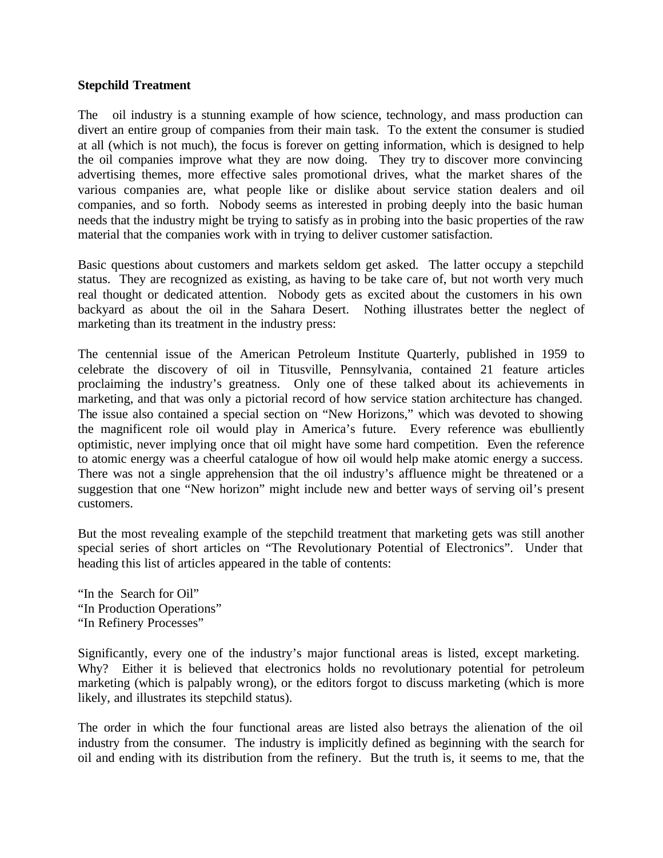#### **Stepchild Treatment**

The oil industry is a stunning example of how science, technology, and mass production can divert an entire group of companies from their main task. To the extent the consumer is studied at all (which is not much), the focus is forever on getting information, which is designed to help the oil companies improve what they are now doing. They try to discover more convincing advertising themes, more effective sales promotional drives, what the market shares of the various companies are, what people like or dislike about service station dealers and oil companies, and so forth. Nobody seems as interested in probing deeply into the basic human needs that the industry might be trying to satisfy as in probing into the basic properties of the raw material that the companies work with in trying to deliver customer satisfaction.

Basic questions about customers and markets seldom get asked. The latter occupy a stepchild status. They are recognized as existing, as having to be take care of, but not worth very much real thought or dedicated attention. Nobody gets as excited about the customers in his own backyard as about the oil in the Sahara Desert. Nothing illustrates better the neglect of marketing than its treatment in the industry press:

The centennial issue of the American Petroleum Institute Quarterly, published in 1959 to celebrate the discovery of oil in Titusville, Pennsylvania, contained 21 feature articles proclaiming the industry's greatness. Only one of these talked about its achievements in marketing, and that was only a pictorial record of how service station architecture has changed. The issue also contained a special section on "New Horizons," which was devoted to showing the magnificent role oil would play in America's future. Every reference was ebulliently optimistic, never implying once that oil might have some hard competition. Even the reference to atomic energy was a cheerful catalogue of how oil would help make atomic energy a success. There was not a single apprehension that the oil industry's affluence might be threatened or a suggestion that one "New horizon" might include new and better ways of serving oil's present customers.

But the most revealing example of the stepchild treatment that marketing gets was still another special series of short articles on "The Revolutionary Potential of Electronics". Under that heading this list of articles appeared in the table of contents:

"In the Search for Oil" "In Production Operations" "In Refinery Processes"

Significantly, every one of the industry's major functional areas is listed, except marketing. Why? Either it is believed that electronics holds no revolutionary potential for petroleum marketing (which is palpably wrong), or the editors forgot to discuss marketing (which is more likely, and illustrates its stepchild status).

The order in which the four functional areas are listed also betrays the alienation of the oil industry from the consumer. The industry is implicitly defined as beginning with the search for oil and ending with its distribution from the refinery. But the truth is, it seems to me, that the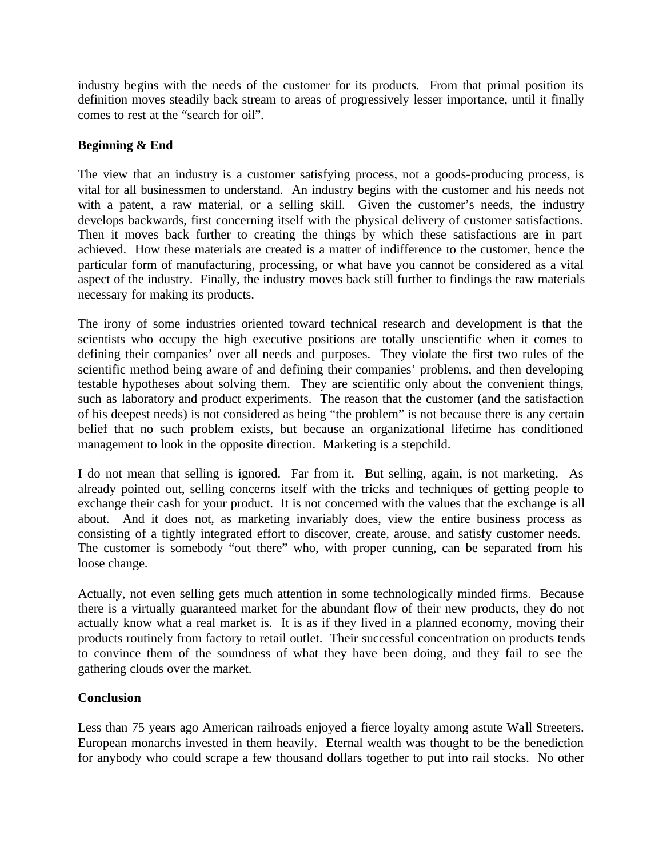industry begins with the needs of the customer for its products. From that primal position its definition moves steadily back stream to areas of progressively lesser importance, until it finally comes to rest at the "search for oil".

### **Beginning & End**

The view that an industry is a customer satisfying process, not a goods-producing process, is vital for all businessmen to understand. An industry begins with the customer and his needs not with a patent, a raw material, or a selling skill. Given the customer's needs, the industry develops backwards, first concerning itself with the physical delivery of customer satisfactions. Then it moves back further to creating the things by which these satisfactions are in part achieved. How these materials are created is a matter of indifference to the customer, hence the particular form of manufacturing, processing, or what have you cannot be considered as a vital aspect of the industry. Finally, the industry moves back still further to findings the raw materials necessary for making its products.

The irony of some industries oriented toward technical research and development is that the scientists who occupy the high executive positions are totally unscientific when it comes to defining their companies' over all needs and purposes. They violate the first two rules of the scientific method being aware of and defining their companies' problems, and then developing testable hypotheses about solving them. They are scientific only about the convenient things, such as laboratory and product experiments. The reason that the customer (and the satisfaction of his deepest needs) is not considered as being "the problem" is not because there is any certain belief that no such problem exists, but because an organizational lifetime has conditioned management to look in the opposite direction. Marketing is a stepchild.

I do not mean that selling is ignored. Far from it. But selling, again, is not marketing. As already pointed out, selling concerns itself with the tricks and techniques of getting people to exchange their cash for your product. It is not concerned with the values that the exchange is all about. And it does not, as marketing invariably does, view the entire business process as consisting of a tightly integrated effort to discover, create, arouse, and satisfy customer needs. The customer is somebody "out there" who, with proper cunning, can be separated from his loose change.

Actually, not even selling gets much attention in some technologically minded firms. Because there is a virtually guaranteed market for the abundant flow of their new products, they do not actually know what a real market is. It is as if they lived in a planned economy, moving their products routinely from factory to retail outlet. Their successful concentration on products tends to convince them of the soundness of what they have been doing, and they fail to see the gathering clouds over the market.

# **Conclusion**

Less than 75 years ago American railroads enjoyed a fierce loyalty among astute Wall Streeters. European monarchs invested in them heavily. Eternal wealth was thought to be the benediction for anybody who could scrape a few thousand dollars together to put into rail stocks. No other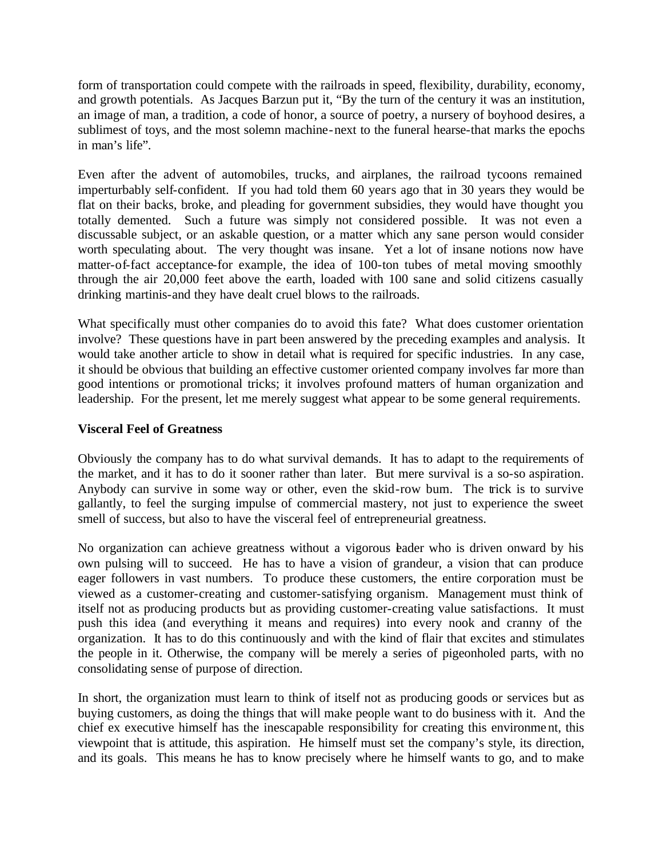form of transportation could compete with the railroads in speed, flexibility, durability, economy, and growth potentials. As Jacques Barzun put it, "By the turn of the century it was an institution, an image of man, a tradition, a code of honor, a source of poetry, a nursery of boyhood desires, a sublimest of toys, and the most solemn machine-next to the funeral hearse-that marks the epochs in man's life".

Even after the advent of automobiles, trucks, and airplanes, the railroad tycoons remained imperturbably self-confident. If you had told them 60 years ago that in 30 years they would be flat on their backs, broke, and pleading for government subsidies, they would have thought you totally demented. Such a future was simply not considered possible. It was not even a discussable subject, or an askable question, or a matter which any sane person would consider worth speculating about. The very thought was insane. Yet a lot of insane notions now have matter-of-fact acceptance-for example, the idea of 100-ton tubes of metal moving smoothly through the air 20,000 feet above the earth, loaded with 100 sane and solid citizens casually drinking martinis-and they have dealt cruel blows to the railroads.

What specifically must other companies do to avoid this fate? What does customer orientation involve? These questions have in part been answered by the preceding examples and analysis. It would take another article to show in detail what is required for specific industries. In any case, it should be obvious that building an effective customer oriented company involves far more than good intentions or promotional tricks; it involves profound matters of human organization and leadership. For the present, let me merely suggest what appear to be some general requirements.

### **Visceral Feel of Greatness**

Obviously the company has to do what survival demands. It has to adapt to the requirements of the market, and it has to do it sooner rather than later. But mere survival is a so-so aspiration. Anybody can survive in some way or other, even the skid-row bum. The trick is to survive gallantly, to feel the surging impulse of commercial mastery, not just to experience the sweet smell of success, but also to have the visceral feel of entrepreneurial greatness.

No organization can achieve greatness without a vigorous leader who is driven onward by his own pulsing will to succeed. He has to have a vision of grandeur, a vision that can produce eager followers in vast numbers. To produce these customers, the entire corporation must be viewed as a customer-creating and customer-satisfying organism. Management must think of itself not as producing products but as providing customer-creating value satisfactions. It must push this idea (and everything it means and requires) into every nook and cranny of the organization. It has to do this continuously and with the kind of flair that excites and stimulates the people in it. Otherwise, the company will be merely a series of pigeonholed parts, with no consolidating sense of purpose of direction.

In short, the organization must learn to think of itself not as producing goods or services but as buying customers, as doing the things that will make people want to do business with it. And the chief ex executive himself has the inescapable responsibility for creating this environment, this viewpoint that is attitude, this aspiration. He himself must set the company's style, its direction, and its goals. This means he has to know precisely where he himself wants to go, and to make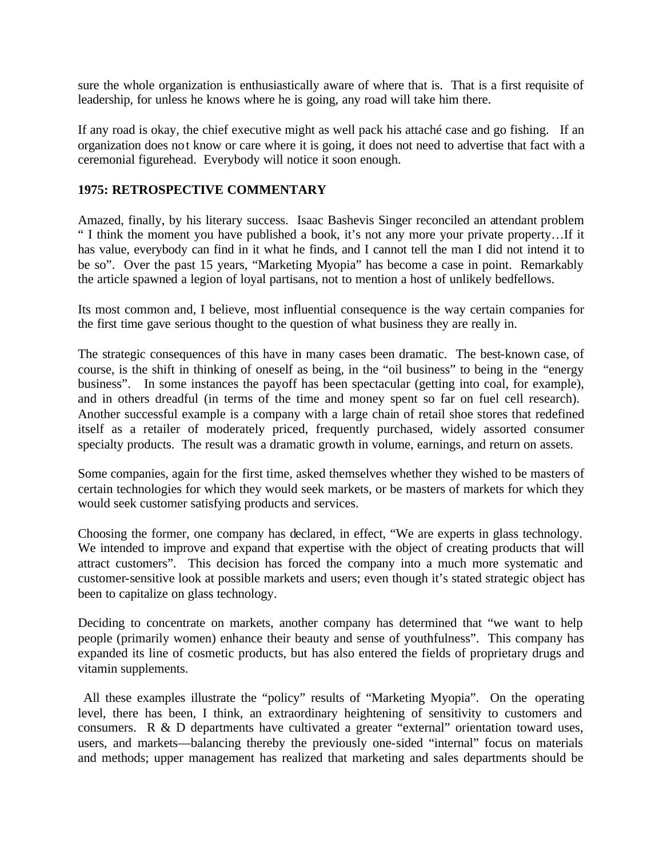sure the whole organization is enthusiastically aware of where that is. That is a first requisite of leadership, for unless he knows where he is going, any road will take him there.

If any road is okay, the chief executive might as well pack his attaché case and go fishing. If an organization does not know or care where it is going, it does not need to advertise that fact with a ceremonial figurehead. Everybody will notice it soon enough.

### **1975: RETROSPECTIVE COMMENTARY**

Amazed, finally, by his literary success. Isaac Bashevis Singer reconciled an attendant problem " I think the moment you have published a book, it's not any more your private property…If it has value, everybody can find in it what he finds, and I cannot tell the man I did not intend it to be so". Over the past 15 years, "Marketing Myopia" has become a case in point. Remarkably the article spawned a legion of loyal partisans, not to mention a host of unlikely bedfellows.

Its most common and, I believe, most influential consequence is the way certain companies for the first time gave serious thought to the question of what business they are really in.

The strategic consequences of this have in many cases been dramatic. The best-known case, of course, is the shift in thinking of oneself as being, in the "oil business" to being in the "energy business". In some instances the payoff has been spectacular (getting into coal, for example), and in others dreadful (in terms of the time and money spent so far on fuel cell research). Another successful example is a company with a large chain of retail shoe stores that redefined itself as a retailer of moderately priced, frequently purchased, widely assorted consumer specialty products. The result was a dramatic growth in volume, earnings, and return on assets.

Some companies, again for the first time, asked themselves whether they wished to be masters of certain technologies for which they would seek markets, or be masters of markets for which they would seek customer satisfying products and services.

Choosing the former, one company has declared, in effect, "We are experts in glass technology. We intended to improve and expand that expertise with the object of creating products that will attract customers". This decision has forced the company into a much more systematic and customer-sensitive look at possible markets and users; even though it's stated strategic object has been to capitalize on glass technology.

Deciding to concentrate on markets, another company has determined that "we want to help people (primarily women) enhance their beauty and sense of youthfulness". This company has expanded its line of cosmetic products, but has also entered the fields of proprietary drugs and vitamin supplements.

 All these examples illustrate the "policy" results of "Marketing Myopia". On the operating level, there has been, I think, an extraordinary heightening of sensitivity to customers and consumers. R & D departments have cultivated a greater "external" orientation toward uses, users, and markets—balancing thereby the previously one-sided "internal" focus on materials and methods; upper management has realized that marketing and sales departments should be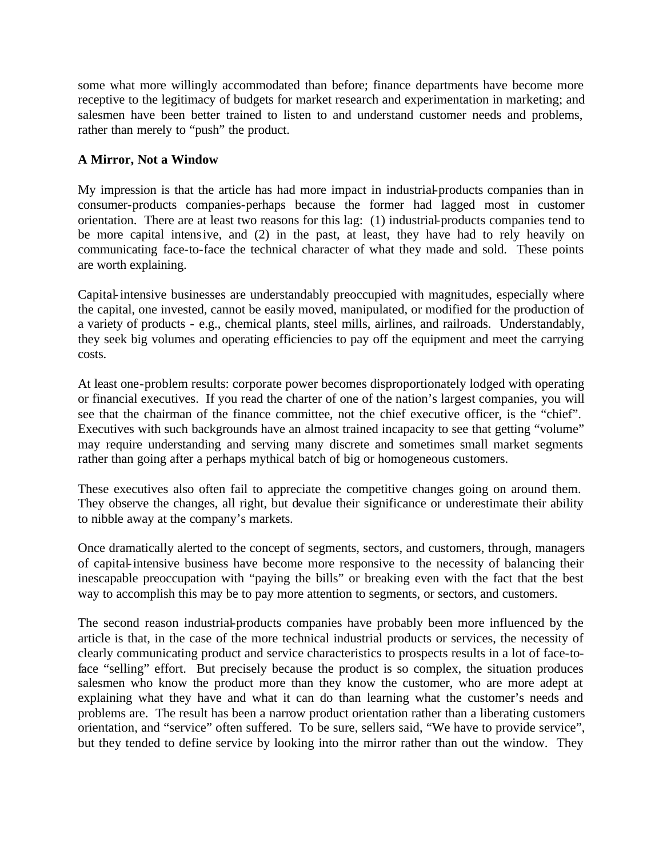some what more willingly accommodated than before; finance departments have become more receptive to the legitimacy of budgets for market research and experimentation in marketing; and salesmen have been better trained to listen to and understand customer needs and problems, rather than merely to "push" the product.

# **A Mirror, Not a Window**

My impression is that the article has had more impact in industrial-products companies than in consumer-products companies-perhaps because the former had lagged most in customer orientation. There are at least two reasons for this lag: (1) industrial-products companies tend to be more capital intensive, and (2) in the past, at least, they have had to rely heavily on communicating face-to-face the technical character of what they made and sold. These points are worth explaining.

Capital-intensive businesses are understandably preoccupied with magnitudes, especially where the capital, one invested, cannot be easily moved, manipulated, or modified for the production of a variety of products - e.g., chemical plants, steel mills, airlines, and railroads. Understandably, they seek big volumes and operating efficiencies to pay off the equipment and meet the carrying costs.

At least one-problem results: corporate power becomes disproportionately lodged with operating or financial executives. If you read the charter of one of the nation's largest companies, you will see that the chairman of the finance committee, not the chief executive officer, is the "chief". Executives with such backgrounds have an almost trained incapacity to see that getting "volume" may require understanding and serving many discrete and sometimes small market segments rather than going after a perhaps mythical batch of big or homogeneous customers.

These executives also often fail to appreciate the competitive changes going on around them. They observe the changes, all right, but devalue their significance or underestimate their ability to nibble away at the company's markets.

Once dramatically alerted to the concept of segments, sectors, and customers, through, managers of capital-intensive business have become more responsive to the necessity of balancing their inescapable preoccupation with "paying the bills" or breaking even with the fact that the best way to accomplish this may be to pay more attention to segments, or sectors, and customers.

The second reason industrial-products companies have probably been more influenced by the article is that, in the case of the more technical industrial products or services, the necessity of clearly communicating product and service characteristics to prospects results in a lot of face-toface "selling" effort. But precisely because the product is so complex, the situation produces salesmen who know the product more than they know the customer, who are more adept at explaining what they have and what it can do than learning what the customer's needs and problems are. The result has been a narrow product orientation rather than a liberating customers orientation, and "service" often suffered. To be sure, sellers said, "We have to provide service", but they tended to define service by looking into the mirror rather than out the window. They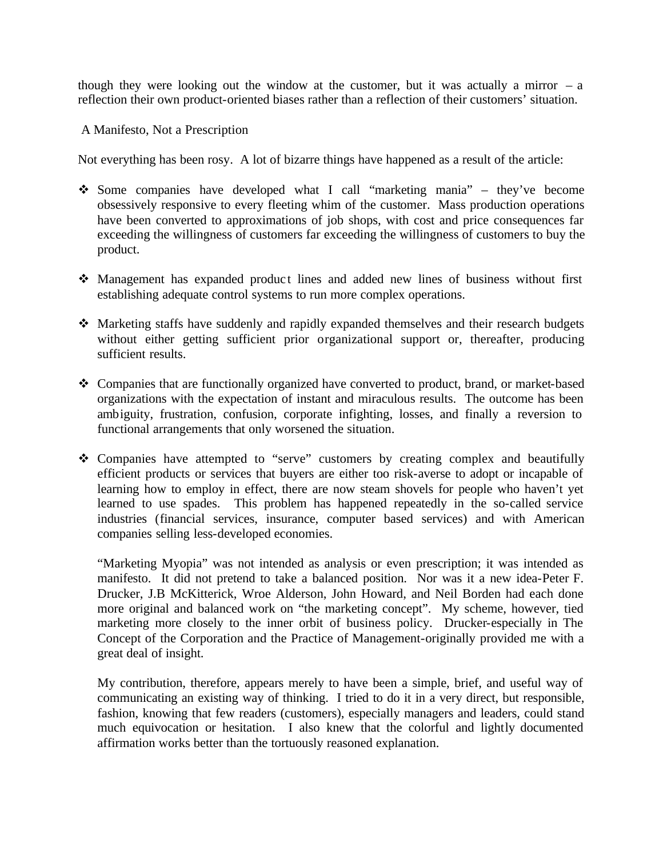though they were looking out the window at the customer, but it was actually a mirror  $-$  a reflection their own product-oriented biases rather than a reflection of their customers' situation.

A Manifesto, Not a Prescription

Not everything has been rosy. A lot of bizarre things have happened as a result of the article:

- $\cdot$  Some companies have developed what I call "marketing mania" they've become obsessively responsive to every fleeting whim of the customer. Mass production operations have been converted to approximations of job shops, with cost and price consequences far exceeding the willingness of customers far exceeding the willingness of customers to buy the product.
- $\cdot$  Management has expanded product lines and added new lines of business without first establishing adequate control systems to run more complex operations.
- Marketing staffs have suddenly and rapidly expanded themselves and their research budgets without either getting sufficient prior organizational support or, thereafter, producing sufficient results.
- v Companies that are functionally organized have converted to product, brand, or market-based organizations with the expectation of instant and miraculous results. The outcome has been ambiguity, frustration, confusion, corporate infighting, losses, and finally a reversion to functional arrangements that only worsened the situation.
- v Companies have attempted to "serve" customers by creating complex and beautifully efficient products or services that buyers are either too risk-averse to adopt or incapable of learning how to employ in effect, there are now steam shovels for people who haven't yet learned to use spades. This problem has happened repeatedly in the so-called service industries (financial services, insurance, computer based services) and with American companies selling less-developed economies.

"Marketing Myopia" was not intended as analysis or even prescription; it was intended as manifesto. It did not pretend to take a balanced position. Nor was it a new idea-Peter F. Drucker, J.B McKitterick, Wroe Alderson, John Howard, and Neil Borden had each done more original and balanced work on "the marketing concept". My scheme, however, tied marketing more closely to the inner orbit of business policy. Drucker-especially in The Concept of the Corporation and the Practice of Management-originally provided me with a great deal of insight.

My contribution, therefore, appears merely to have been a simple, brief, and useful way of communicating an existing way of thinking. I tried to do it in a very direct, but responsible, fashion, knowing that few readers (customers), especially managers and leaders, could stand much equivocation or hesitation. I also knew that the colorful and lightly documented affirmation works better than the tortuously reasoned explanation.